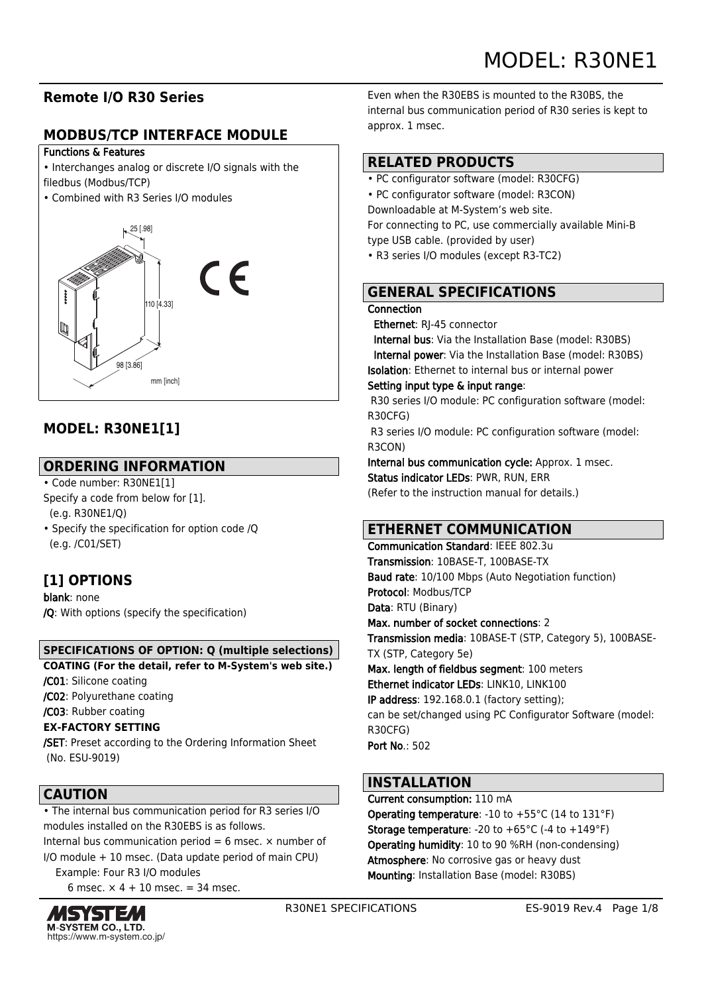# **Remote I/O R30 Series**

# **MODBUS/TCP INTERFACE MODULE**

### Functions & Features

- Interchanges analog or discrete I/O signals with the filedbus (Modbus/TCP)
- 



# **MODEL: R30NE1[1]**

# **ORDERING INFORMATION**

- Code number: R30NE1[1] Specify a code from below for [1]. (e.g. R30NE1/Q)
- Specify the specification for option code /Q (e.g. /C01/SET)

# **[1] OPTIONS**

blank: none /Q: With options (specify the specification)

### **SPECIFICATIONS OF OPTION: Q (multiple selections)**

**COATING (For the detail, refer to M-System's web site.)**

/C01: Silicone coating

/C02: Polyurethane coating

/C03: Rubber coating

### **EX-FACTORY SETTING**

/SET: Preset according to the Ordering Information Sheet (No. ESU-9019)

# **CAUTION**

• The internal bus communication period for R3 series I/O modules installed on the R30EBS is as follows.

Internal bus communication period = 6 msec.  $\times$  number of I/O module + 10 msec. (Data update period of main CPU)

Example: Four R3 I/O modules

6 msec.  $\times$  4 + 10 msec. = 34 msec.



Even when the R30EBS is mounted to the R30BS, the internal bus communication period of R30 series is kept to approx. 1 msec.

# **RELATED PRODUCTS**

- PC configurator software (model: R30CFG)
- PC configurator software (model: R3CON)

Downloadable at M-System's web site.

For connecting to PC, use commercially available Mini-B type USB cable. (provided by user)

• R3 series I/O modules (except R3-TC2)

# **GENERAL SPECIFICATIONS**

### Connection

Ethernet: RJ-45 connector

 Internal bus: Via the Installation Base (model: R30BS) Internal power: Via the Installation Base (model: R30BS) Isolation: Ethernet to internal bus or internal power

### Setting input type & input range:

 R30 series I/O module: PC configuration software (model: R30CFG)

 R3 series I/O module: PC configuration software (model: R3CON)

Internal bus communication cycle: Approx. 1 msec. Status indicator LEDs: PWR, RUN, ERR

(Refer to the instruction manual for details.)

# **ETHERNET COMMUNICATION**

Communication Standard: IEEE 802.3u Transmission: 10BASE-T, 100BASE-TX Baud rate: 10/100 Mbps (Auto Negotiation function) Protocol: Modbus/TCP Data: RTU (Binary) Max. number of socket connections: 2 Transmission media: 10BASE-T (STP, Category 5), 100BASE-TX (STP, Category 5e) Max. length of fieldbus segment: 100 meters Ethernet indicator LEDs: LINK10, LINK100 IP address: 192.168.0.1 (factory setting); can be set/changed using PC Configurator Software (model: R30CFG) Port No.: 502

# **INSTALLATION**

Current consumption: 110 mA Operating temperature: -10 to +55°C (14 to 131°F) **Storage temperature:** -20 to  $+65^{\circ}$ C (-4 to  $+149^{\circ}$ F) Operating humidity: 10 to 90 %RH (non-condensing) Atmosphere: No corrosive gas or heavy dust Mounting: Installation Base (model: R30BS)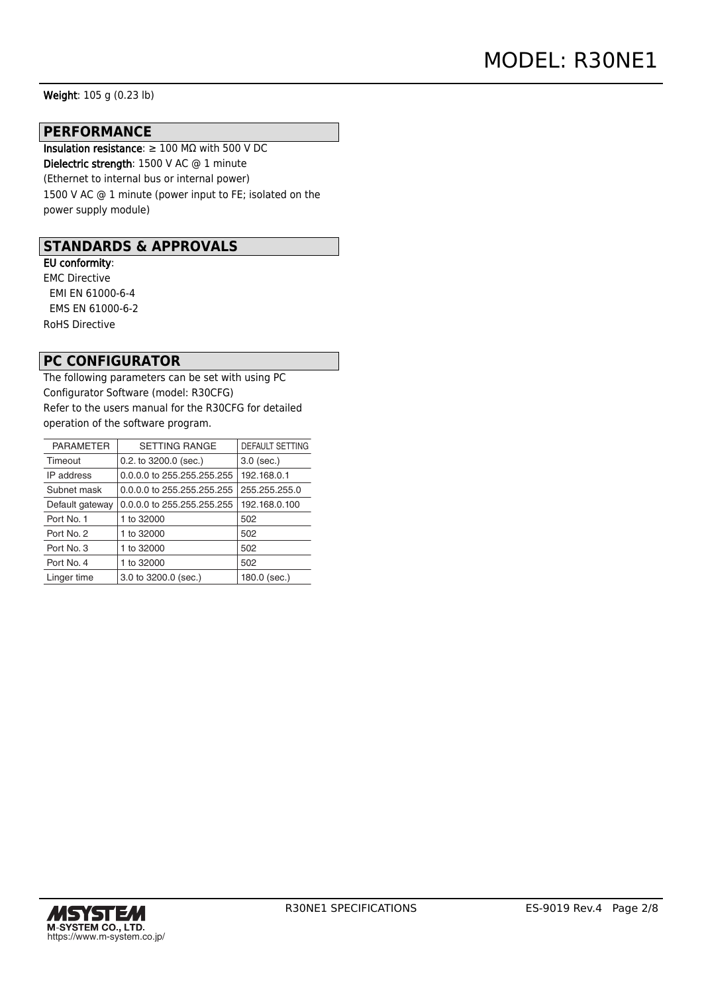Weight: 105 g (0.23 lb)

#### **PERFORMANCE**

Insulation resistance: ≥ 100 MΩ with 500 V DC Dielectric strength: 1500 V AC @ 1 minute (Ethernet to internal bus or internal power) 1500 V AC @ 1 minute (power input to FE; isolated on the power supply module)

### **STANDARDS & APPROVALS**

EU conformity: EMC Directive EMI EN 61000-6-4 EMS EN 61000-6-2 RoHS Directive

### **PC CONFIGURATOR**

The following parameters can be set with using PC Configurator Software (model: R30CFG) Refer to the users manual for the R30CFG for detailed operation of the software program.

| <b>PARAMETER</b> | <b>SETTING RANGE</b>       | <b>DEFAULT SETTING</b> |
|------------------|----------------------------|------------------------|
| Timeout          | $0.2.$ to $3200.0$ (sec.)  | $3.0$ (sec.)           |
| IP address       | 0.0.0.0 to 255.255.255.255 |                        |
| Subnet mask      | 0.0.0.0 to 255.255.255.255 | 255.255.255.0          |
| Default gateway  | 0.0.0.0 to 255.255.255.255 | 192.168.0.100          |
| Port No. 1       | 1 to 32000                 | 502                    |
| Port No. 2       | 1 to 32000                 | 502                    |
| Port No. 3       | 1 to 32000                 | 502                    |
| Port No. 4       | 1 to 32000                 | 502                    |
| Linger time      | 3.0 to 3200.0 (sec.)       | 180.0 (sec.)           |
|                  |                            |                        |

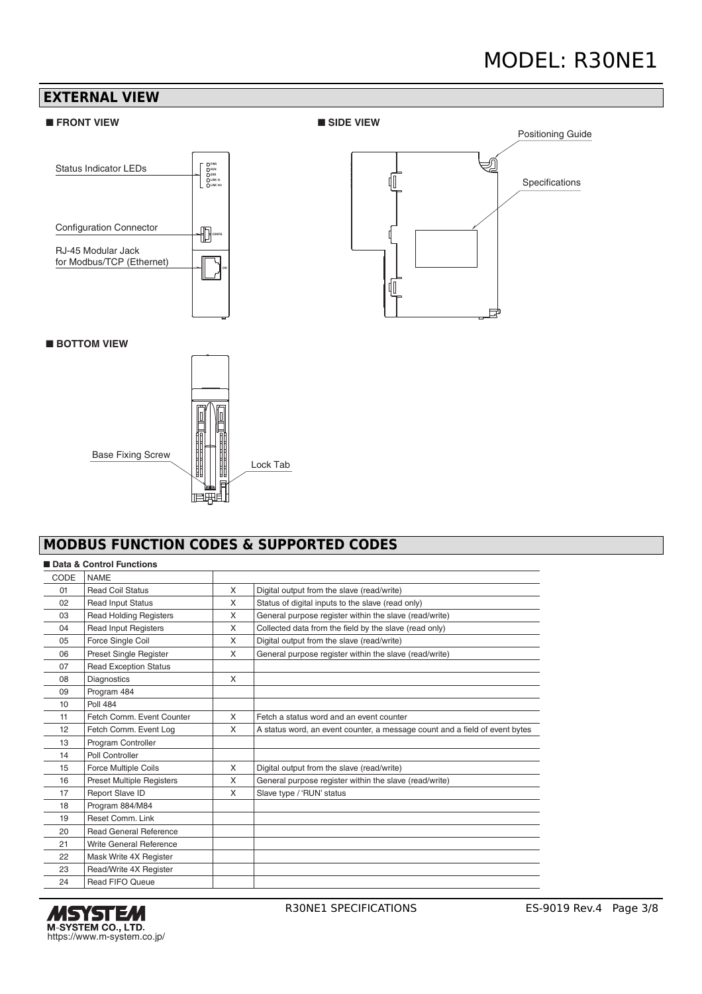# MODEL: R30NE1



# **MODBUS FUNCTION CODES & SUPPORTED CODES**

|                 | Data & Control Functions         |          |                                                                             |
|-----------------|----------------------------------|----------|-----------------------------------------------------------------------------|
| CODE            | <b>NAME</b>                      |          |                                                                             |
| 01              | <b>Read Coil Status</b>          | $\times$ | Digital output from the slave (read/write)                                  |
| 02              | <b>Read Input Status</b>         | X        | Status of digital inputs to the slave (read only)                           |
| 03              | <b>Read Holding Registers</b>    | X        | General purpose register within the slave (read/write)                      |
| 04              | <b>Read Input Registers</b>      | X        | Collected data from the field by the slave (read only)                      |
| 05              | Force Single Coil                | X        | Digital output from the slave (read/write)                                  |
| 06              | Preset Single Register           | X        | General purpose register within the slave (read/write)                      |
| 07              | <b>Read Exception Status</b>     |          |                                                                             |
| 08              | Diagnostics                      | $\times$ |                                                                             |
| 09              | Program 484                      |          |                                                                             |
| 10 <sup>1</sup> | <b>Poll 484</b>                  |          |                                                                             |
| 11              | Fetch Comm. Event Counter        | $\times$ | Fetch a status word and an event counter                                    |
| 12              | Fetch Comm. Event Log            | X        | A status word, an event counter, a message count and a field of event bytes |
| 13              | Program Controller               |          |                                                                             |
| 14              | Poll Controller                  |          |                                                                             |
| 15              | Force Multiple Coils             | $\times$ | Digital output from the slave (read/write)                                  |
| 16              | <b>Preset Multiple Registers</b> | X        | General purpose register within the slave (read/write)                      |
| 17              | Report Slave ID                  | $\times$ | Slave type / 'RUN' status                                                   |
| 18              | Program 884/M84                  |          |                                                                             |
| 19              | Reset Comm. Link                 |          |                                                                             |
| 20              | <b>Read General Reference</b>    |          |                                                                             |
| 21              | Write General Reference          |          |                                                                             |
| 22              | Mask Write 4X Register           |          |                                                                             |
| 23              | Read/Write 4X Register           |          |                                                                             |
| 24              | <b>Read FIFO Queue</b>           |          |                                                                             |

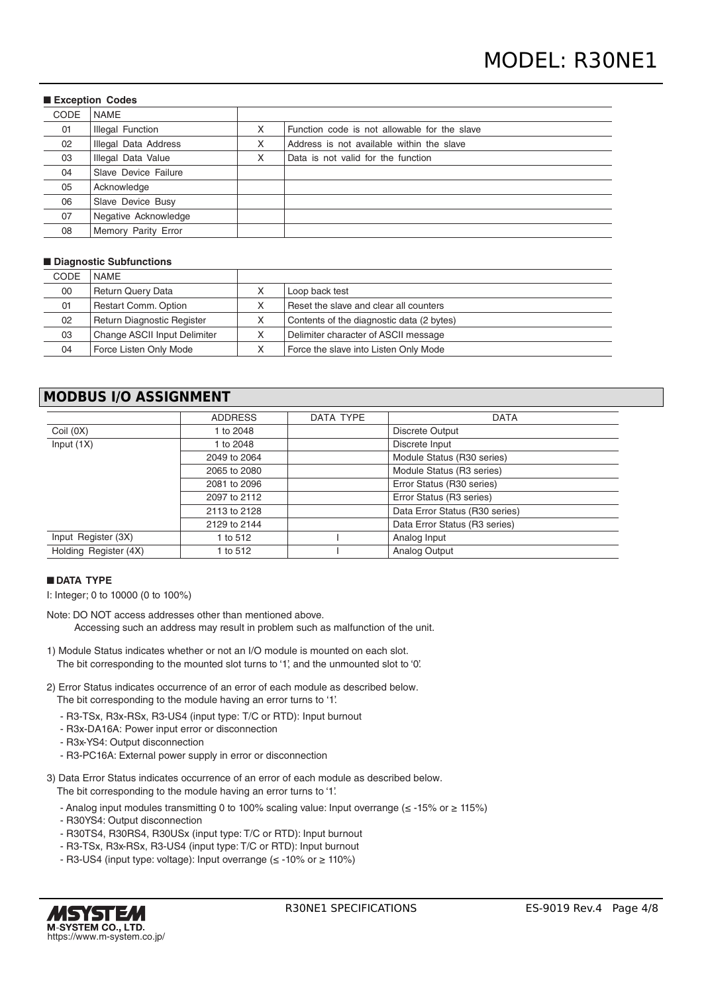| <b>Exception Codes</b> |                      |   |                                              |
|------------------------|----------------------|---|----------------------------------------------|
| <b>CODE</b>            | <b>NAME</b>          |   |                                              |
| 01                     | Illegal Function     | X | Function code is not allowable for the slave |
| 02                     | Illegal Data Address | X | Address is not available within the slave    |
| 03                     | Illegal Data Value   | X | Data is not valid for the function           |
| 04                     | Slave Device Failure |   |                                              |
| 05                     | Acknowledge          |   |                                              |
| 06                     | Slave Device Busy    |   |                                              |
| 07                     | Negative Acknowledge |   |                                              |
| 08                     | Memory Parity Error  |   |                                              |

#### ■ Diagnostic Subfunctions

| CODE | <b>NAME</b>                  |   |                                           |
|------|------------------------------|---|-------------------------------------------|
| 00   | <b>Return Query Data</b>     | Х | Loop back test                            |
| 01   | <b>Restart Comm. Option</b>  | Х | Reset the slave and clear all counters    |
| 02   | Return Diagnostic Register   | Х | Contents of the diagnostic data (2 bytes) |
| 03   | Change ASCII Input Delimiter | Х | Delimiter character of ASCII message      |
| 04   | Force Listen Only Mode       | ⋏ | Force the slave into Listen Only Mode     |

### **MODBUS I/O ASSIGNMENT**

|                       | <b>ADDRESS</b> | DATA TYPE | <b>DATA</b>                    |  |
|-----------------------|----------------|-----------|--------------------------------|--|
| Coil(0X)              | 1 to 2048      |           | Discrete Output                |  |
| Input $(1X)$          | 1 to 2048      |           | Discrete Input                 |  |
|                       | 2049 to 2064   |           | Module Status (R30 series)     |  |
|                       | 2065 to 2080   |           | Module Status (R3 series)      |  |
|                       | 2081 to 2096   |           | Error Status (R30 series)      |  |
|                       | 2097 to 2112   |           | Error Status (R3 series)       |  |
|                       | 2113 to 2128   |           | Data Error Status (R30 series) |  |
|                       | 2129 to 2144   |           | Data Error Status (R3 series)  |  |
| Input Register (3X)   | 1 to 512       |           | Analog Input                   |  |
| Holding Register (4X) | 1 to 512       |           | Analog Output                  |  |

#### ■ **DATA TYPE**

I: Integer; 0 to 10000 (0 to 100%)

- Note: DO NOT access addresses other than mentioned above. Accessing such an address may result in problem such as malfunction of the unit.
- 1) Module Status indicates whether or not an I/O module is mounted on each slot. The bit corresponding to the mounted slot turns to '1', and the unmounted slot to '0'.
- 2) Error Status indicates occurrence of an error of each module as described below. The bit corresponding to the module having an error turns to '1'.
	- R3-TSx, R3x-RSx, R3-US4 (input type: T/C or RTD): Input burnout
	- R3x-DA16A: Power input error or disconnection
	- R3x-YS4: Output disconnection
	- R3-PC16A: External power supply in error or disconnection

3) Data Error Status indicates occurrence of an error of each module as described below.

The bit corresponding to the module having an error turns to '1'.

- Analog input modules transmitting 0 to 100% scaling value: Input overrange (≤ -15% or ≥ 115%)
- R30YS4: Output disconnection
- R30TS4, R30RS4, R30USx (input type: T/C or RTD): Input burnout
- R3-TSx, R3x-RSx, R3-US4 (input type: T/C or RTD): Input burnout
- R3-US4 (input type: voltage): Input overrange (≤ -10% or ≥ 110%)

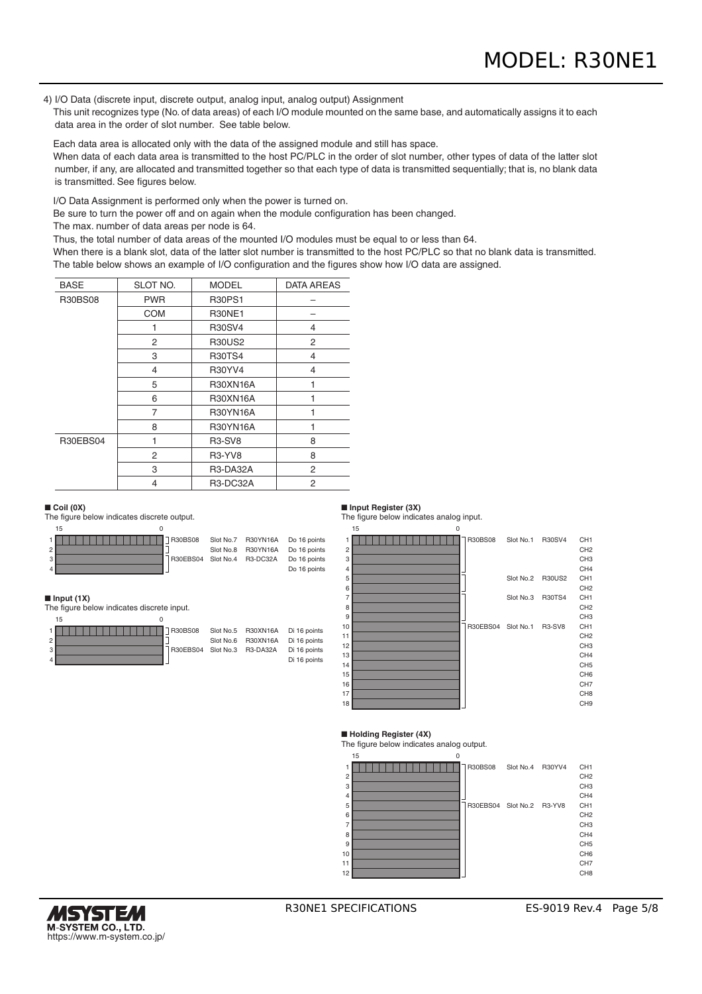4) I/O Data (discrete input, discrete output, analog input, analog output) Assignment

 This unit recognizes type (No. of data areas) of each I/O module mounted on the same base, and automatically assigns it to each data area in the order of slot number. See table below.

Each data area is allocated only with the data of the assigned module and still has space.

When data of each data area is transmitted to the host PC/PLC in the order of slot number, other types of data of the latter slot number, if any, are allocated and transmitted together so that each type of data is transmitted sequentially; that is, no blank data is transmitted. See figures below.

I/O Data Assignment is performed only when the power is turned on.

Be sure to turn the power off and on again when the module configuration has been changed.

The max. number of data areas per node is 64.

Thus, the total number of data areas of the mounted I/O modules must be equal to or less than 64.

 When there is a blank slot, data of the latter slot number is transmitted to the host PC/PLC so that no blank data is transmitted. The table below shows an example of I/O configuration and the figures show how I/O data are assigned.

| <b>BASE</b>    | SLOT NO.   | <b>MODEL</b>                     | <b>DATA AREAS</b> |
|----------------|------------|----------------------------------|-------------------|
| <b>R30BS08</b> | <b>PWR</b> | <b>R30PS1</b>                    |                   |
|                | <b>COM</b> | <b>R30NE1</b>                    |                   |
|                |            | <b>R30SV4</b>                    | 4                 |
|                | 2          | <b>R30US2</b>                    | 2                 |
|                | 3          | <b>R30TS4</b>                    | 4                 |
|                | 4          | R30YV4                           | 4                 |
|                | 5          | <b>R30XN16A</b>                  |                   |
|                | 6          | <b>R30XN16A</b>                  |                   |
|                | 7          | R30YN16A                         |                   |
|                | 8          | <b>R30YN16A</b>                  |                   |
| R30EBS04       |            | R <sub>3</sub> -SV <sub>8</sub>  | 8                 |
|                | 2          | R <sub>3</sub> -Y <sub>V</sub> 8 | 8                 |
|                | 3          | <b>R3-DA32A</b>                  | 2                 |
|                | 4          | R3-DC32A                         | 2                 |

#### ■ **Coil (0X)**

The figure below indicates discrete output.



#### ■ **Input (1X)**

The figure below indicates discrete input.





### ■ **Input Register (3X)**

The figure below indicates analog input.



#### ■ **Holding Register (4X)**

The figure below indicates analog output.



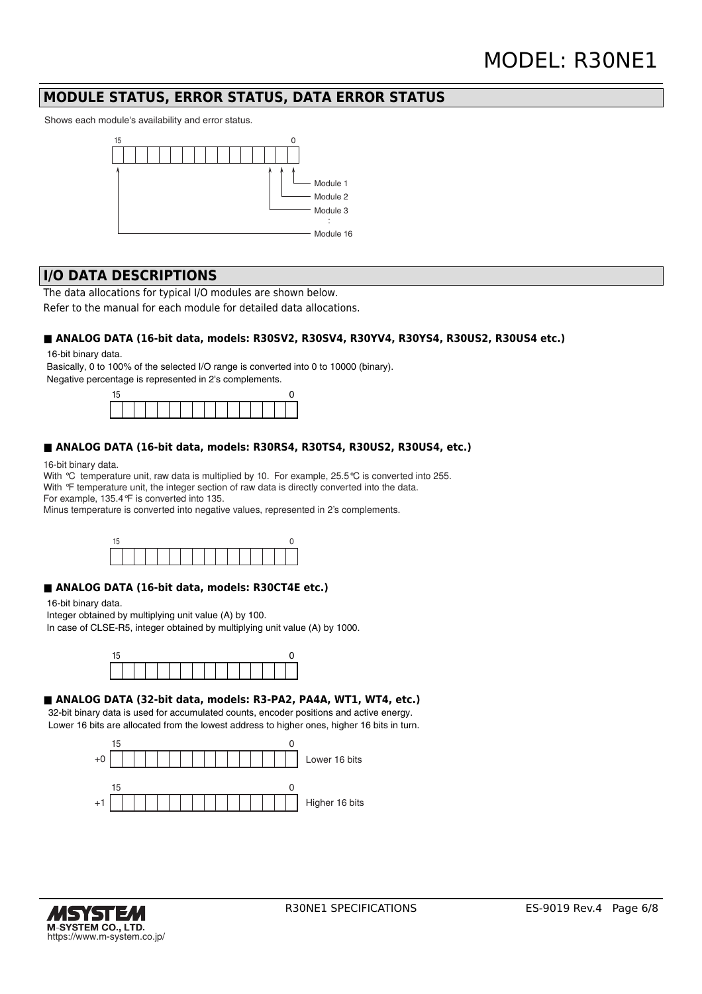### **MODULE STATUS, ERROR STATUS, DATA ERROR STATUS**

Shows each module's availability and error status.



### **I/O DATA DESCRIPTIONS**

The data allocations for typical I/O modules are shown below.

Refer to the manual for each module for detailed data allocations.

#### ■ ANALOG DATA (16-bit data, models: R30SV2, R30SV4, R30YV4, R30YS4, R30US2, R30US4 etc.)

16-bit binary data.

Basically, 0 to 100% of the selected I/O range is converted into 0 to 10000 (binary). Negative percentage is represented in 2's complements.



#### **■ ANALOG DATA (16-bit data, models: R30RS4, R30TS4, R30US2, R30US4, etc.)**

16-bit binary data.

With °C temperature unit, raw data is multiplied by 10. For example, 25.5 °C is converted into 255.

With <sup>°</sup>F temperature unit, the integer section of raw data is directly converted into the data.

For example, 135.4°F is converted into 135.

Minus temperature is converted into negative values, represented in 2's complements.



#### ■ ANALOG DATA (16-bit data, models: R30CT4E etc.)

16-bit binary data.

Integer obtained by multiplying unit value (A) by 100.

In case of CLSE-R5, integer obtained by multiplying unit value (A) by 1000.



#### ■ ANALOG DATA (32-bit data, models: R3-PA2, PA4A, WT1, WT4, etc.)

32-bit binary data is used for accumulated counts, encoder positions and active energy. Lower 16 bits are allocated from the lowest address to higher ones, higher 16 bits in turn.



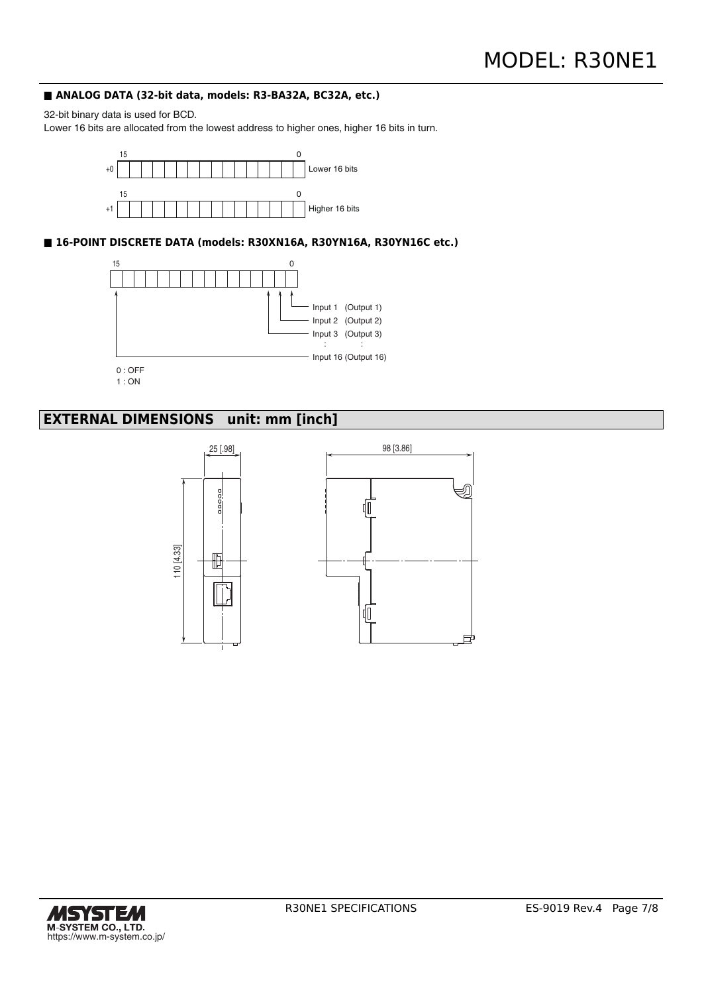#### ■ ANALOG DATA (32-bit data, models: R3-BA32A, BC32A, etc.)

32-bit binary data is used for BCD.

Lower 16 bits are allocated from the lowest address to higher ones, higher 16 bits in turn.



**■ 16-POINT DISCRETE DATA (models: R30XN16A, R30YN16A, R30YN16C etc.)**



1 : ON

# **EXTERNAL DIMENSIONS unit: mm [inch]**